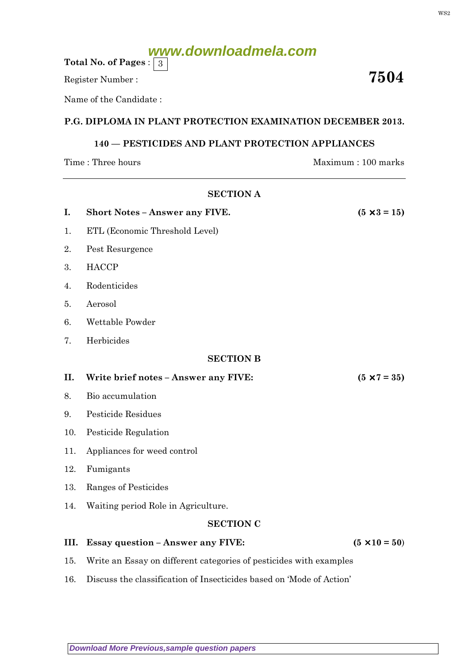# **www.downloadmela.com**

Total No. of Pages :  $\mid 3 \rangle$ 

Register Number :  $\overline{\hspace{1.5cm}7504}$ 

Name of the Candidate :

## P.G. DIPLOMA IN PLANT PROTECTION EXAMINATION DECEMBER 2013.

## 140 — PESTICIDES AND PLANT PROTECTION APPLIANCES

SECTION A

Time : Three hours Maximum : 100 marks

| I.               | <b>Short Notes - Answer any FIVE.</b>                                | $(5 \times 3 = 15)$  |
|------------------|----------------------------------------------------------------------|----------------------|
| 1.               | ETL (Economic Threshold Level)                                       |                      |
| 2.               | Pest Resurgence                                                      |                      |
| 3.               | <b>HACCP</b>                                                         |                      |
| 4.               | Rodenticides                                                         |                      |
| 5.               | Aerosol                                                              |                      |
| 6.               | Wettable Powder                                                      |                      |
| 7.               | Herbicides                                                           |                      |
| <b>SECTION B</b> |                                                                      |                      |
| II.              | Write brief notes - Answer any FIVE:                                 | $(5 \times 7 = 35)$  |
| 8.               | Bio accumulation                                                     |                      |
| 9.               | <b>Pesticide Residues</b>                                            |                      |
| 10.              | Pesticide Regulation                                                 |                      |
| 11.              | Appliances for weed control                                          |                      |
| 12.              | Fumigants                                                            |                      |
| 13.              | Ranges of Pesticides                                                 |                      |
| 14.              | Waiting period Role in Agriculture.                                  |                      |
| <b>SECTION C</b> |                                                                      |                      |
| III.             | <b>Essay question - Answer any FIVE:</b>                             | $(5 \times 10 = 50)$ |
| 15.              | Write an Essay on different categories of pesticides with examples   |                      |
| 16.              | Discuss the classification of Insecticides based on 'Mode of Action' |                      |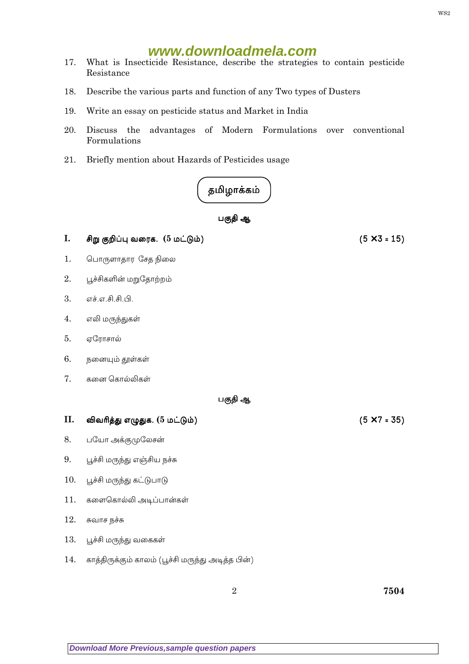## www.downloadmela.com

- 17. What is Insecticide Resistance, describe the strategies to contain pesticide Resistance
- 18. Describe the various parts and function of any Two types of Dusters
- 19. Write an essay on pesticide status and Market in India
- 20. Discuss the advantages of Modern Formulations over conventional Formulations
- 21. Briefly mention about Hazards of Pesticides usage



- $\mathbf{I}$ . சிறு குறிப்பு வரைக. (5 மட்டும்)
- $1.$ பொருளாதார சேத நிலை
- $2.$ பூச்சிகளின் மறுதோற்றம்
- $\overline{3}$ . எச்.எ.சி.சி.பி.
- எலி மருந்துகள்  $\overline{4}$ .
- 5. ஏரோசால்
- 6. நனையும் தூள்கள்
- $7.$ கனை கொல்லிகள்

### பகுதி ஆ

### II. விவரித்து எழுதுக. (5 மட்டும்)

- 8. பயோ அக்குமுலேசன்
- பூச்சி மருந்து எஞ்சிய நச்சு 9.
- பூச்சி மருந்து கட்டுபாடு 10.
- 11. களைகொல்லி அடிப்பான்கள்
- 12. சுவாச நச்சு
- 13. பூச்சி மருந்து வகைகள்
- 14. காத்திருக்கும் காலம் (பூச்சி மருந்து அடித்த பின்)

 $(5 \times 3 = 15)$ 

 $(5 \times 7 = 35)$